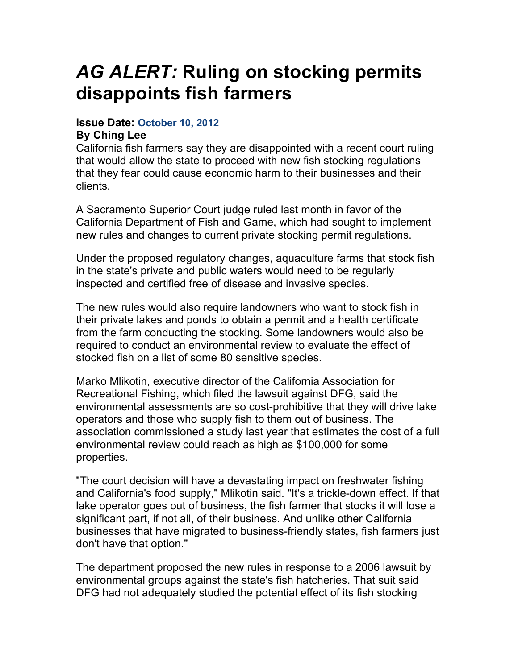## *AG ALERT:* **Ruling on stocking permits disappoints fish farmers**

## **Issue Date: October 10, 2012**

## **By Ching Lee**

California fish farmers say they are disappointed with a recent court ruling that would allow the state to proceed with new fish stocking regulations that they fear could cause economic harm to their businesses and their clients.

A Sacramento Superior Court judge ruled last month in favor of the California Department of Fish and Game, which had sought to implement new rules and changes to current private stocking permit regulations.

Under the proposed regulatory changes, aquaculture farms that stock fish in the state's private and public waters would need to be regularly inspected and certified free of disease and invasive species.

The new rules would also require landowners who want to stock fish in their private lakes and ponds to obtain a permit and a health certificate from the farm conducting the stocking. Some landowners would also be required to conduct an environmental review to evaluate the effect of stocked fish on a list of some 80 sensitive species.

Marko Mlikotin, executive director of the California Association for Recreational Fishing, which filed the lawsuit against DFG, said the environmental assessments are so cost-prohibitive that they will drive lake operators and those who supply fish to them out of business. The association commissioned a study last year that estimates the cost of a full environmental review could reach as high as \$100,000 for some properties.

"The court decision will have a devastating impact on freshwater fishing and California's food supply," Mlikotin said. "It's a trickle-down effect. If that lake operator goes out of business, the fish farmer that stocks it will lose a significant part, if not all, of their business. And unlike other California businesses that have migrated to business-friendly states, fish farmers just don't have that option."

The department proposed the new rules in response to a 2006 lawsuit by environmental groups against the state's fish hatcheries. That suit said DFG had not adequately studied the potential effect of its fish stocking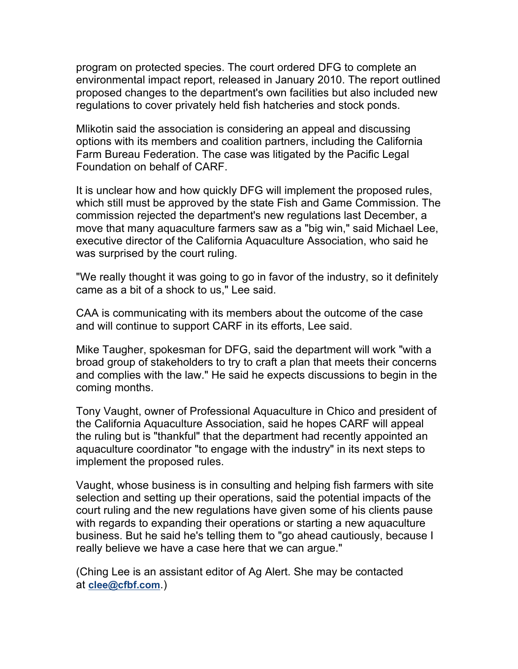program on protected species. The court ordered DFG to complete an environmental impact report, released in January 2010. The report outlined proposed changes to the department's own facilities but also included new regulations to cover privately held fish hatcheries and stock ponds.

Mlikotin said the association is considering an appeal and discussing options with its members and coalition partners, including the California Farm Bureau Federation. The case was litigated by the Pacific Legal Foundation on behalf of CARF.

It is unclear how and how quickly DFG will implement the proposed rules, which still must be approved by the state Fish and Game Commission. The commission rejected the department's new regulations last December, a move that many aquaculture farmers saw as a "big win," said Michael Lee, executive director of the California Aquaculture Association, who said he was surprised by the court ruling.

"We really thought it was going to go in favor of the industry, so it definitely came as a bit of a shock to us," Lee said.

CAA is communicating with its members about the outcome of the case and will continue to support CARF in its efforts, Lee said.

Mike Taugher, spokesman for DFG, said the department will work "with a broad group of stakeholders to try to craft a plan that meets their concerns and complies with the law." He said he expects discussions to begin in the coming months.

Tony Vaught, owner of Professional Aquaculture in Chico and president of the California Aquaculture Association, said he hopes CARF will appeal the ruling but is "thankful" that the department had recently appointed an aquaculture coordinator "to engage with the industry" in its next steps to implement the proposed rules.

Vaught, whose business is in consulting and helping fish farmers with site selection and setting up their operations, said the potential impacts of the court ruling and the new regulations have given some of his clients pause with regards to expanding their operations or starting a new aquaculture business. But he said he's telling them to "go ahead cautiously, because I really believe we have a case here that we can argue."

(Ching Lee is an assistant editor of Ag Alert. She may be contacted at **clee@cfbf.com**.)